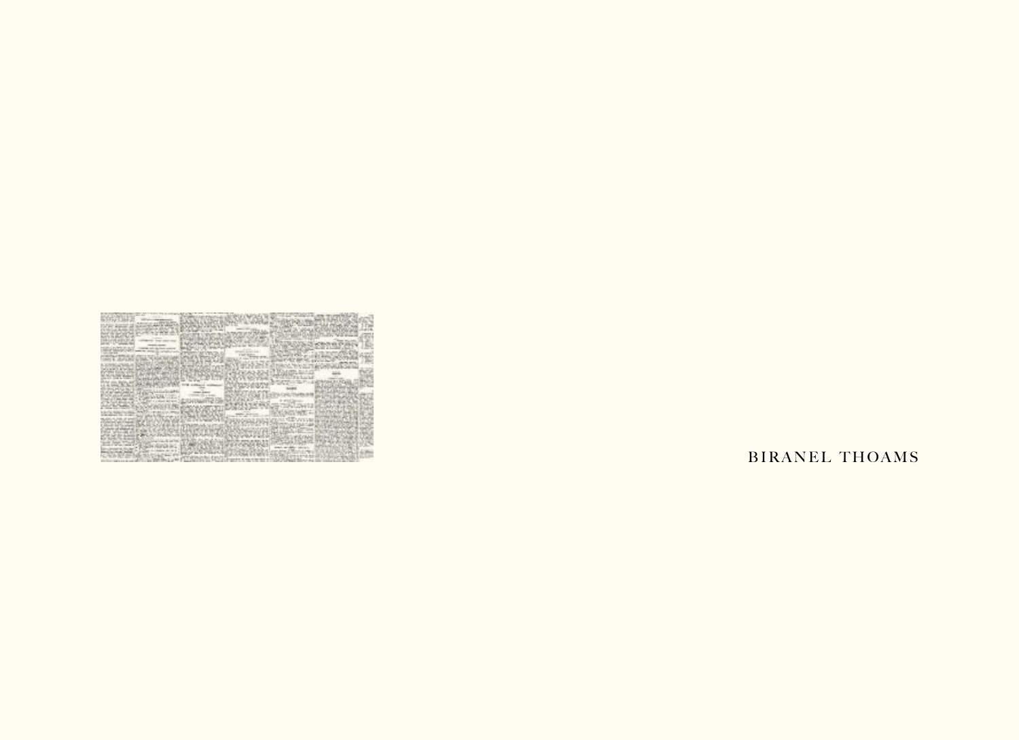| ---                  | Form street by        |
|----------------------|-----------------------|
|                      | 5 bar guine,          |
|                      | <b>Search College</b> |
|                      |                       |
|                      |                       |
|                      |                       |
|                      |                       |
| w                    |                       |
| come to former.      |                       |
|                      |                       |
|                      |                       |
| <b>MALLAS</b>        |                       |
|                      |                       |
| are pull and         |                       |
|                      |                       |
|                      |                       |
| <b>SHEET</b>         |                       |
|                      |                       |
| <b>CONTRACTOR</b>    | <b>South F</b>        |
| and the street       |                       |
|                      |                       |
| and was or lease     |                       |
|                      |                       |
| to call a bracket at |                       |
|                      |                       |
|                      |                       |
|                      |                       |
|                      |                       |
|                      |                       |
|                      |                       |
|                      |                       |
|                      |                       |
|                      |                       |
|                      |                       |

## **BIRANEL THOAMS**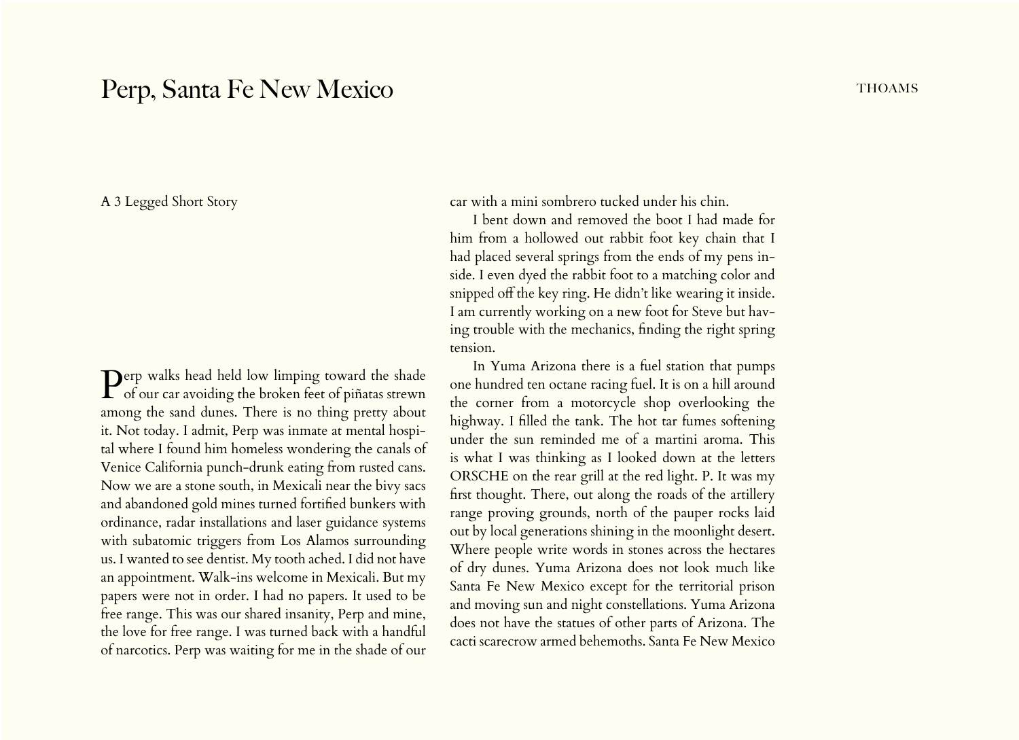## Perp, Santa Fe New Mexico Thoams

A 3 Legged Short Story

Derp walks head held low limping toward the shade  $\Gamma$  of our car avoiding the broken feet of piñatas strewn among the sand dunes. There is no thing pretty about it. Not today. I admit, Perp was inmate at mental hospital where I found him homeless wondering the canals of Venice California punch-drunk eating from rusted cans. Now we are a stone south, in Mexicali near the bivy sacs and abandoned gold mines turned fortified bunkers with ordinance, radar installations and laser guidance systems with subatomic triggers from Los Alamos surrounding us. I wanted to see dentist. My tooth ached. I did not have an appointment. Walk-ins welcome in Mexicali. But my papers were not in order. I had no papers. It used to be free range. This was our shared insanity, Perp and mine, the love for free range. I was turned back with a handful of narcotics. Perp was waiting for me in the shade of our

car with a mini sombrero tucked under his chin.

I bent down and removed the boot I had made for him from a hollowed out rabbit foot key chain that I had placed several springs from the ends of my pens inside. I even dyed the rabbit foot to a matching color and snipped off the key ring. He didn't like wearing it inside. I am currently working on a new foot for Steve but having trouble with the mechanics, finding the right spring tension.

In Yuma Arizona there is a fuel station that pumps one hundred ten octane racing fuel. It is on a hill around the corner from a motorcycle shop overlooking the highway. I filled the tank. The hot tar fumes softening under the sun reminded me of a martini aroma. This is what I was thinking as I looked down at the letters ORSCHE on the rear grill at the red light. P. It was my first thought. There, out along the roads of the artillery range proving grounds, north of the pauper rocks laid out by local generations shining in the moonlight desert. Where people write words in stones across the hectares of dry dunes. Yuma Arizona does not look much like Santa Fe New Mexico except for the territorial prison and moving sun and night constellations. Yuma Arizona does not have the statues of other parts of Arizona. The cacti scarecrow armed behemoths. Santa Fe New Mexico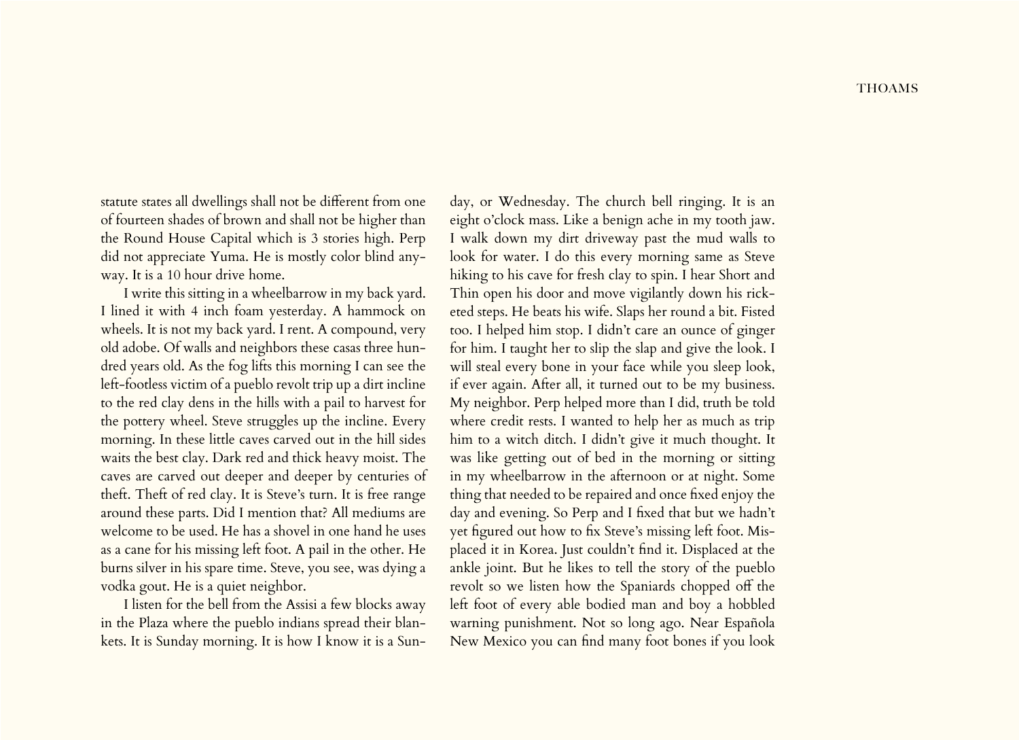statute states all dwellings shall not be different from one of fourteen shades of brown and shall not be higher than the Round House Capital which is 3 stories high. Perp did not appreciate Yuma. He is mostly color blind anyway. It is a 10 hour drive home.

I write this sitting in a wheelbarrow in my back yard. I lined it with 4 inch foam yesterday. A hammock on wheels. It is not my back yard. I rent. A compound, very old adobe. Of walls and neighbors these casas three hundred years old. As the fog lifts this morning I can see the left-footless victim of a pueblo revolt trip up a dirt incline to the red clay dens in the hills with a pail to harvest for the pottery wheel. Steve struggles up the incline. Every morning. In these little caves carved out in the hill sides waits the best clay. Dark red and thick heavy moist. The caves are carved out deeper and deeper by centuries of theft. Theft of red clay. It is Steve's turn. It is free range around these parts. Did I mention that? All mediums are welcome to be used. He has a shovel in one hand he uses as a cane for his missing left foot. A pail in the other. He burns silver in his spare time. Steve, you see, was dying a vodka gout. He is a quiet neighbor.

I listen for the bell from the Assisi a few blocks away in the Plaza where the pueblo indians spread their blankets. It is Sunday morning. It is how I know it is a Sun-

day, or Wednesday. The church bell ringing. It is an eight o'clock mass. Like a benign ache in my tooth jaw. I walk down my dirt driveway past the mud walls to look for water. I do this every morning same as Steve hiking to his cave for fresh clay to spin. I hear Short and Thin open his door and move vigilantly down his ricketed steps. He beats his wife. Slaps her round a bit. Fisted too. I helped him stop. I didn't care an ounce of ginger for him. I taught her to slip the slap and give the look. I will steal every bone in your face while you sleep look, if ever again. After all, it turned out to be my business. My neighbor. Perp helped more than I did, truth be told where credit rests. I wanted to help her as much as trip him to a witch ditch. I didn't give it much thought. It was like getting out of bed in the morning or sitting in my wheelbarrow in the afternoon or at night. Some thing that needed to be repaired and once fixed enjoy the day and evening. So Perp and I fixed that but we hadn't yet figured out how to fix Steve's missing left foot. Misplaced it in Korea. Just couldn't find it. Displaced at the ankle joint. But he likes to tell the story of the pueblo revolt so we listen how the Spaniards chopped off the left foot of every able bodied man and boy a hobbled warning punishment. Not so long ago. Near Española New Mexico you can find many foot bones if you look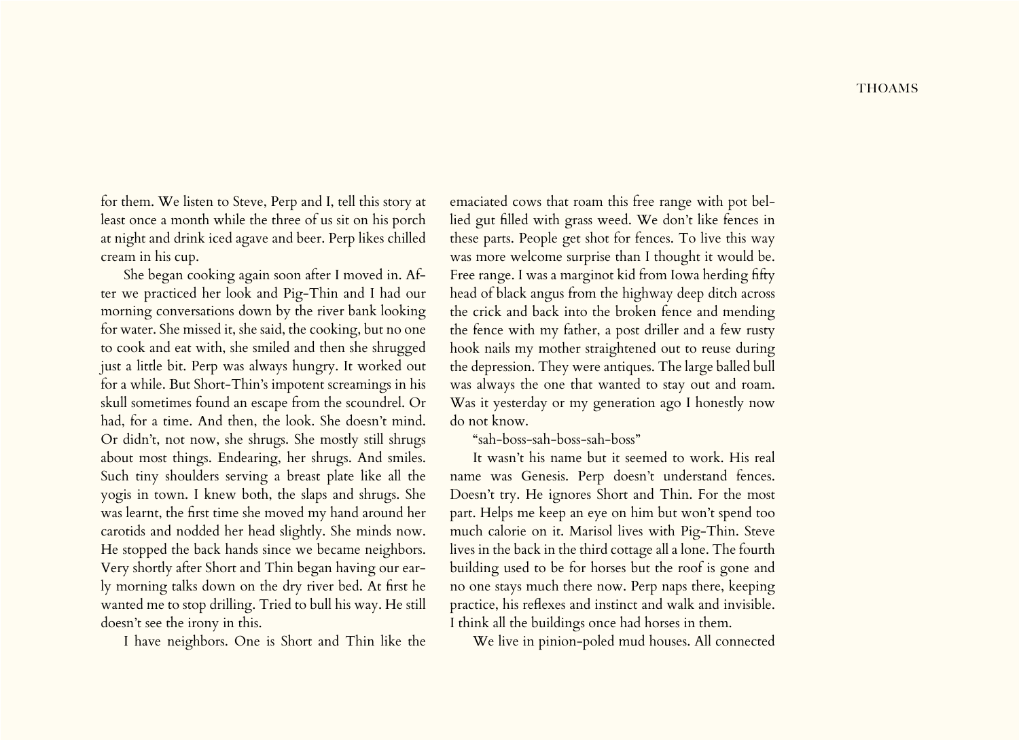for them. We listen to Steve, Perp and I, tell this story at least once a month while the three of us sit on his porch at night and drink iced agave and beer. Perp likes chilled cream in his cup.

She began cooking again soon after I moved in. After we practiced her look and Pig-Thin and I had our morning conversations down by the river bank looking for water. She missed it, she said, the cooking, but no one to cook and eat with, she smiled and then she shrugged just a little bit. Perp was always hungry. It worked out for a while. But Short-Thin's impotent screamings in his skull sometimes found an escape from the scoundrel. Or had, for a time. And then, the look. She doesn't mind. Or didn't, not now, she shrugs. She mostly still shrugs about most things. Endearing, her shrugs. And smiles. Such tiny shoulders serving a breast plate like all the yogis in town. I knew both, the slaps and shrugs. She was learnt, the first time she moved my hand around her carotids and nodded her head slightly. She minds now. He stopped the back hands since we became neighbors. Very shortly after Short and Thin began having our early morning talks down on the dry river bed. At first he wanted me to stop drilling. Tried to bull his way. He still doesn't see the irony in this.

I have neighbors. One is Short and Thin like the

emaciated cows that roam this free range with pot bellied gut filled with grass weed. We don't like fences in these parts. People get shot for fences. To live this way was more welcome surprise than I thought it would be. Free range. I was a marginot kid from Iowa herding fifty head of black angus from the highway deep ditch across the crick and back into the broken fence and mending the fence with my father, a post driller and a few rusty hook nails my mother straightened out to reuse during the depression. They were antiques. The large balled bull was always the one that wanted to stay out and roam. Was it yesterday or my generation ago I honestly now do not know.

"sah-boss-sah-boss-sah-boss"

It wasn't his name but it seemed to work. His real name was Genesis. Perp doesn't understand fences. Doesn't try. He ignores Short and Thin. For the most part. Helps me keep an eye on him but won't spend too much calorie on it. Marisol lives with Pig-Thin. Steve lives in the back in the third cottage all a lone. The fourth building used to be for horses but the roof is gone and no one stays much there now. Perp naps there, keeping practice, his reflexes and instinct and walk and invisible. I think all the buildings once had horses in them.

We live in pinion-poled mud houses. All connected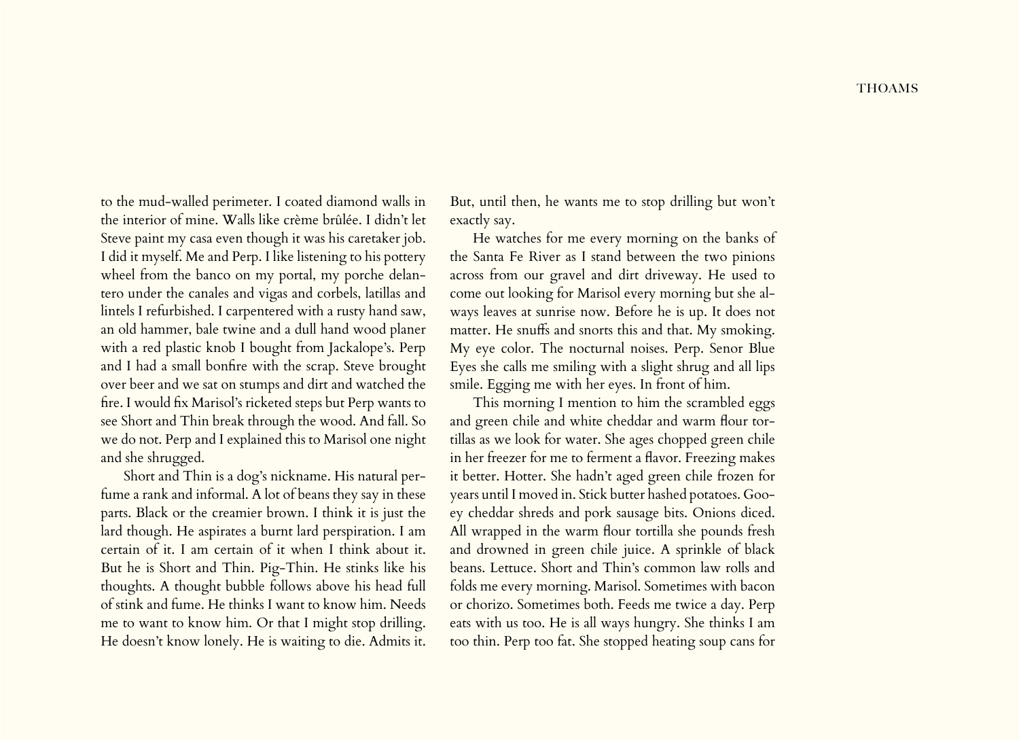to the mud-walled perimeter. I coated diamond walls in the interior of mine. Walls like crème brûlée. I didn't let Steve paint my casa even though it was his caretaker job. I did it myself. Me and Perp. I like listening to his pottery wheel from the banco on my portal, my porche delantero under the canales and vigas and corbels, latillas and lintels I refurbished. I carpentered with a rusty hand saw, an old hammer, bale twine and a dull hand wood planer with a red plastic knob I bought from Jackalope's. Perp and I had a small bonfire with the scrap. Steve brought over beer and we sat on stumps and dirt and watched the fire. I would fix Marisol's ricketed steps but Perp wants to see Short and Thin break through the wood. And fall. So we do not. Perp and I explained this to Marisol one night and she shrugged.

Short and Thin is a dog's nickname. His natural perfume a rank and informal. A lot of beans they say in these parts. Black or the creamier brown. I think it is just the lard though. He aspirates a burnt lard perspiration. I am certain of it. I am certain of it when I think about it. But he is Short and Thin. Pig-Thin. He stinks like his thoughts. A thought bubble follows above his head full of stink and fume. He thinks I want to know him. Needs me to want to know him. Or that I might stop drilling. He doesn't know lonely. He is waiting to die. Admits it.

But, until then, he wants me to stop drilling but won't exactly say.

He watches for me every morning on the banks of the Santa Fe River as I stand between the two pinions across from our gravel and dirt driveway. He used to come out looking for Marisol every morning but she always leaves at sunrise now. Before he is up. It does not matter. He snuffs and snorts this and that. My smoking. My eye color. The nocturnal noises. Perp. Senor Blue Eyes she calls me smiling with a slight shrug and all lips smile. Egging me with her eyes. In front of him.

This morning I mention to him the scrambled eggs and green chile and white cheddar and warm flour tortillas as we look for water. She ages chopped green chile in her freezer for me to ferment a flavor. Freezing makes it better. Hotter. She hadn't aged green chile frozen for years until I moved in. Stick butter hashed potatoes. Gooey cheddar shreds and pork sausage bits. Onions diced. All wrapped in the warm flour tortilla she pounds fresh and drowned in green chile juice. A sprinkle of black beans. Lettuce. Short and Thin's common law rolls and folds me every morning. Marisol. Sometimes with bacon or chorizo. Sometimes both. Feeds me twice a day. Perp eats with us too. He is all ways hungry. She thinks I am too thin. Perp too fat. She stopped heating soup cans for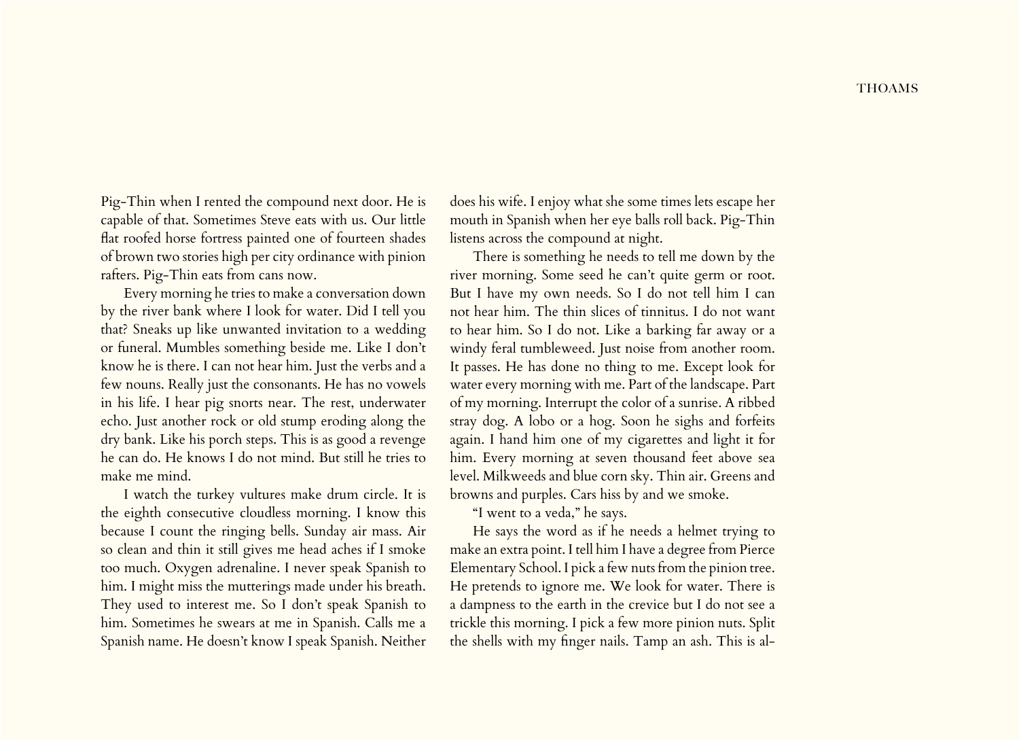Pig-Thin when I rented the compound next door. He is capable of that. Sometimes Steve eats with us. Our little flat roofed horse fortress painted one of fourteen shades of brown two stories high per city ordinance with pinion rafters. Pig-Thin eats from cans now.

Every morning he tries to make a conversation down by the river bank where I look for water. Did I tell you that? Sneaks up like unwanted invitation to a wedding or funeral. Mumbles something beside me. Like I don't know he is there. I can not hear him. Just the verbs and a few nouns. Really just the consonants. He has no vowels in his life. I hear pig snorts near. The rest, underwater echo. Just another rock or old stump eroding along the dry bank. Like his porch steps. This is as good a revenge he can do. He knows I do not mind. But still he tries to make me mind.

I watch the turkey vultures make drum circle. It is the eighth consecutive cloudless morning. I know this because I count the ringing bells. Sunday air mass. Air so clean and thin it still gives me head aches if I smoke too much. Oxygen adrenaline. I never speak Spanish to him. I might miss the mutterings made under his breath. They used to interest me. So I don't speak Spanish to him. Sometimes he swears at me in Spanish. Calls me a Spanish name. He doesn't know I speak Spanish. Neither

does his wife. I enjoy what she some times lets escape her mouth in Spanish when her eye balls roll back. Pig-Thin listens across the compound at night.

There is something he needs to tell me down by the river morning. Some seed he can't quite germ or root. But I have my own needs. So I do not tell him I can not hear him. The thin slices of tinnitus. I do not want to hear him. So I do not. Like a barking far away or a windy feral tumbleweed. Just noise from another room. It passes. He has done no thing to me. Except look for water every morning with me. Part of the landscape. Part of my morning. Interrupt the color of a sunrise. A ribbed stray dog. A lobo or a hog. Soon he sighs and forfeits again. I hand him one of my cigarettes and light it for him. Every morning at seven thousand feet above sea level. Milkweeds and blue corn sky. Thin air. Greens and browns and purples. Cars hiss by and we smoke.

"I went to a veda," he says.

He says the word as if he needs a helmet trying to make an extra point. I tell him I have a degree from Pierce Elementary School. I pick a few nuts from the pinion tree. He pretends to ignore me. We look for water. There is a dampness to the earth in the crevice but I do not see a trickle this morning. I pick a few more pinion nuts. Split the shells with my finger nails. Tamp an ash. This is al-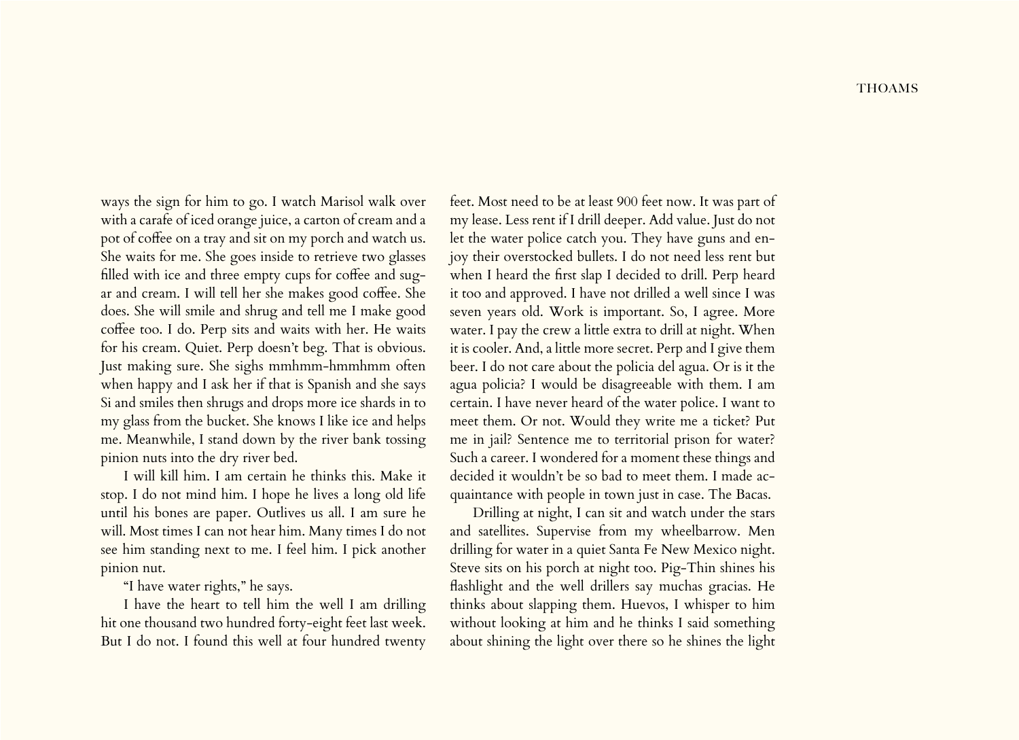ways the sign for him to go. I watch Marisol walk over with a carafe of iced orange juice, a carton of cream and a pot of coffee on a tray and sit on my porch and watch us. She waits for me. She goes inside to retrieve two glasses filled with ice and three empty cups for coffee and sugar and cream. I will tell her she makes good coffee. She does. She will smile and shrug and tell me I make good coffee too. I do. Perp sits and waits with her. He waits for his cream. Quiet. Perp doesn't beg. That is obvious. Just making sure. She sighs mmhmm-hmmhmm often when happy and I ask her if that is Spanish and she says Si and smiles then shrugs and drops more ice shards in to my glass from the bucket. She knows I like ice and helps me. Meanwhile, I stand down by the river bank tossing pinion nuts into the dry river bed.

I will kill him. I am certain he thinks this. Make it stop. I do not mind him. I hope he lives a long old life until his bones are paper. Outlives us all. I am sure he will. Most times I can not hear him. Many times I do not see him standing next to me. I feel him. I pick another pinion nut.

## "I have water rights," he says.

I have the heart to tell him the well I am drilling hit one thousand two hundred forty-eight feet last week. But I do not. I found this well at four hundred twenty

feet. Most need to be at least 900 feet now. It was part of my lease. Less rent if I drill deeper. Add value. Just do not let the water police catch you. They have guns and enjoy their overstocked bullets. I do not need less rent but when I heard the first slap I decided to drill. Perp heard it too and approved. I have not drilled a well since I was seven years old. Work is important. So, I agree. More water. I pay the crew a little extra to drill at night. When it is cooler. And, a little more secret. Perp and I give them beer. I do not care about the policia del agua. Or is it the agua policia? I would be disagreeable with them. I am certain. I have never heard of the water police. I want to meet them. Or not. Would they write me a ticket? Put me in jail? Sentence me to territorial prison for water? Such a career. I wondered for a moment these things and decided it wouldn't be so bad to meet them. I made acquaintance with people in town just in case. The Bacas.

Drilling at night, I can sit and watch under the stars and satellites. Supervise from my wheelbarrow. Men drilling for water in a quiet Santa Fe New Mexico night. Steve sits on his porch at night too. Pig-Thin shines his flashlight and the well drillers say muchas gracias. He thinks about slapping them. Huevos, I whisper to him without looking at him and he thinks I said something about shining the light over there so he shines the light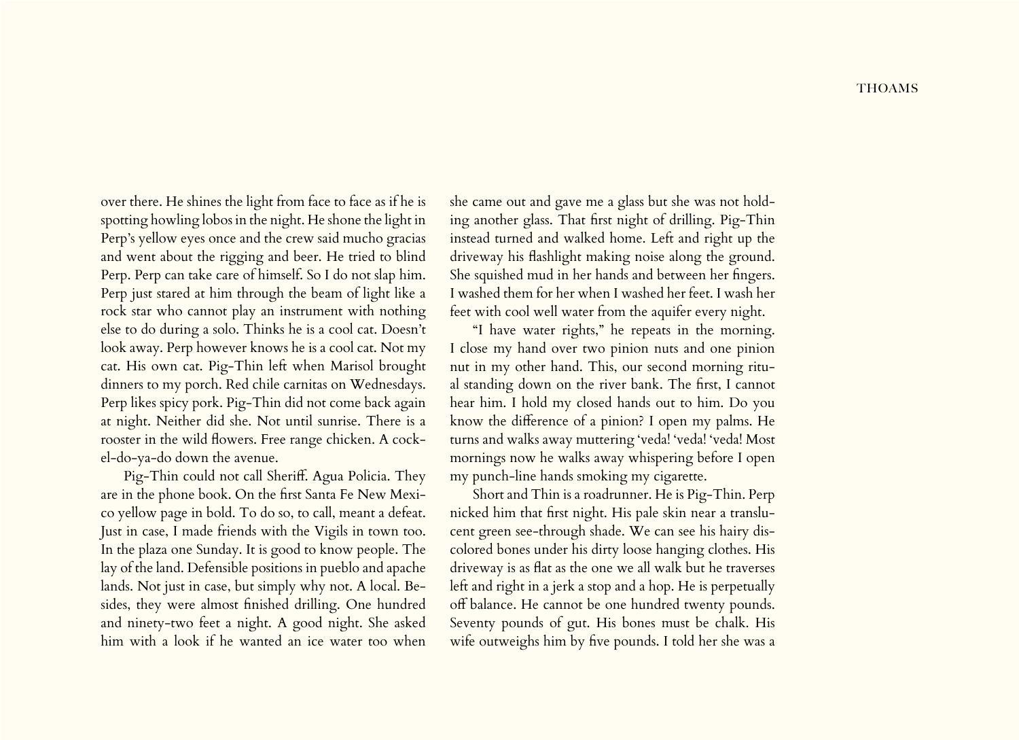over there. He shines the light from face to face as if he is spotting howling lobos in the night. He shone the light in Perp's yellow eyes once and the crew said mucho gracias and went about the rigging and beer. He tried to blind Perp. Perp can take care of himself. So I do not slap him. Perp just stared at him through the beam of light like a rock star who cannot play an instrument with nothing else to do during a solo. Thinks he is a cool cat. Doesn't look away. Perp however knows he is a cool cat. Not my cat. His own cat. Pig-Thin left when Marisol brought dinners to my porch. Red chile carnitas on Wednesdays. Perp likes spicy pork. Pig-Thin did not come back again at night. Neither did she. Not until sunrise. There is a rooster in the wild flowers. Free range chicken. A cockel-do-ya-do down the avenue.

Pig-Thin could not call Sheriff. Agua Policia. They are in the phone book. On the first Santa Fe New Mexico yellow page in bold. To do so, to call, meant a defeat. Just in case, I made friends with the Vigils in town too. In the plaza one Sunday. It is good to know people. The lay of the land. Defensible positions in pueblo and apache lands. Not just in case, but simply why not. A local. Besides, they were almost finished drilling. One hundred and ninety-two feet a night. A good night. She asked him with a look if he wanted an ice water too when she came out and gave me a glass but she was not holding another glass. That first night of drilling. Pig-Thin instead turned and walked home. Left and right up the driveway his flashlight making noise along the ground. She squished mud in her hands and between her fingers. I washed them for her when I washed her feet. I wash her feet with cool well water from the aquifer every night.

"I have water rights," he repeats in the morning. I close my hand over two pinion nuts and one pinion nut in my other hand. This, our second morning ritual standing down on the river bank. The first, I cannot hear him. I hold my closed hands out to him. Do you know the difference of a pinion? I open my palms. He turns and walks away muttering 'veda! 'veda! 'veda! Most mornings now he walks away whispering before I open my punch-line hands smoking my cigarette.

Short and Thin is a roadrunner. He is Pig-Thin. Perp nicked him that first night. His pale skin near a translucent green see-through shade. We can see his hairy discolored bones under his dirty loose hanging clothes. His driveway is as flat as the one we all walk but he traverses left and right in a jerk a stop and a hop. He is perpetually off balance. He cannot be one hundred twenty pounds. Seventy pounds of gut. His bones must be chalk. His wife outweighs him by five pounds. I told her she was a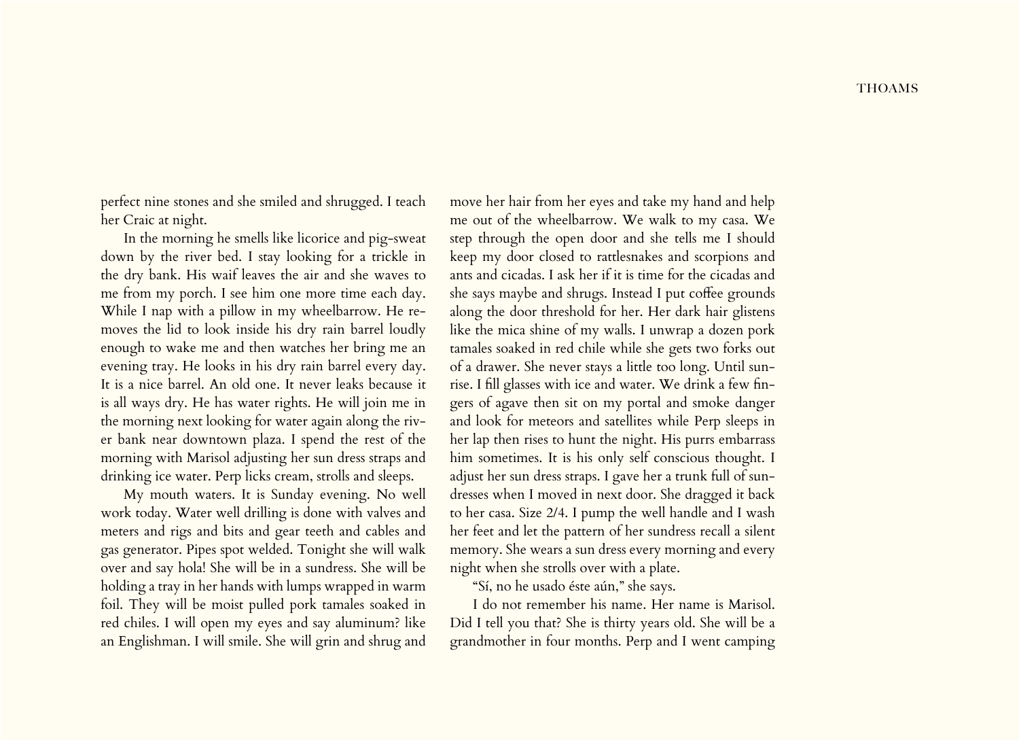perfect nine stones and she smiled and shrugged. I teach her Craic at night.

In the morning he smells like licorice and pig-sweat down by the river bed. I stay looking for a trickle in the dry bank. His waif leaves the air and she waves to me from my porch. I see him one more time each day. While I nap with a pillow in my wheelbarrow. He removes the lid to look inside his dry rain barrel loudly enough to wake me and then watches her bring me an evening tray. He looks in his dry rain barrel every day. It is a nice barrel. An old one. It never leaks because it is all ways dry. He has water rights. He will join me in the morning next looking for water again along the river bank near downtown plaza. I spend the rest of the morning with Marisol adjusting her sun dress straps and drinking ice water. Perp licks cream, strolls and sleeps.

My mouth waters. It is Sunday evening. No well work today. Water well drilling is done with valves and meters and rigs and bits and gear teeth and cables and gas generator. Pipes spot welded. Tonight she will walk over and say hola! She will be in a sundress. She will be holding a tray in her hands with lumps wrapped in warm foil. They will be moist pulled pork tamales soaked in red chiles. I will open my eyes and say aluminum? like an Englishman. I will smile. She will grin and shrug and

move her hair from her eyes and take my hand and help me out of the wheelbarrow. We walk to my casa. We step through the open door and she tells me I should keep my door closed to rattlesnakes and scorpions and ants and cicadas. I ask her if it is time for the cicadas and she says maybe and shrugs. Instead I put coffee grounds along the door threshold for her. Her dark hair glistens like the mica shine of my walls. I unwrap a dozen pork tamales soaked in red chile while she gets two forks out of a drawer. She never stays a little too long. Until sunrise. I fill glasses with ice and water. We drink a few fingers of agave then sit on my portal and smoke danger and look for meteors and satellites while Perp sleeps in her lap then rises to hunt the night. His purrs embarrass him sometimes. It is his only self conscious thought. I adjust her sun dress straps. I gave her a trunk full of sundresses when I moved in next door. She dragged it back to her casa. Size 2/4. I pump the well handle and I wash her feet and let the pattern of her sundress recall a silent memory. She wears a sun dress every morning and every night when she strolls over with a plate.

"Sí, no he usado éste aún," she says.

I do not remember his name. Her name is Marisol. Did I tell you that? She is thirty years old. She will be a grandmother in four months. Perp and I went camping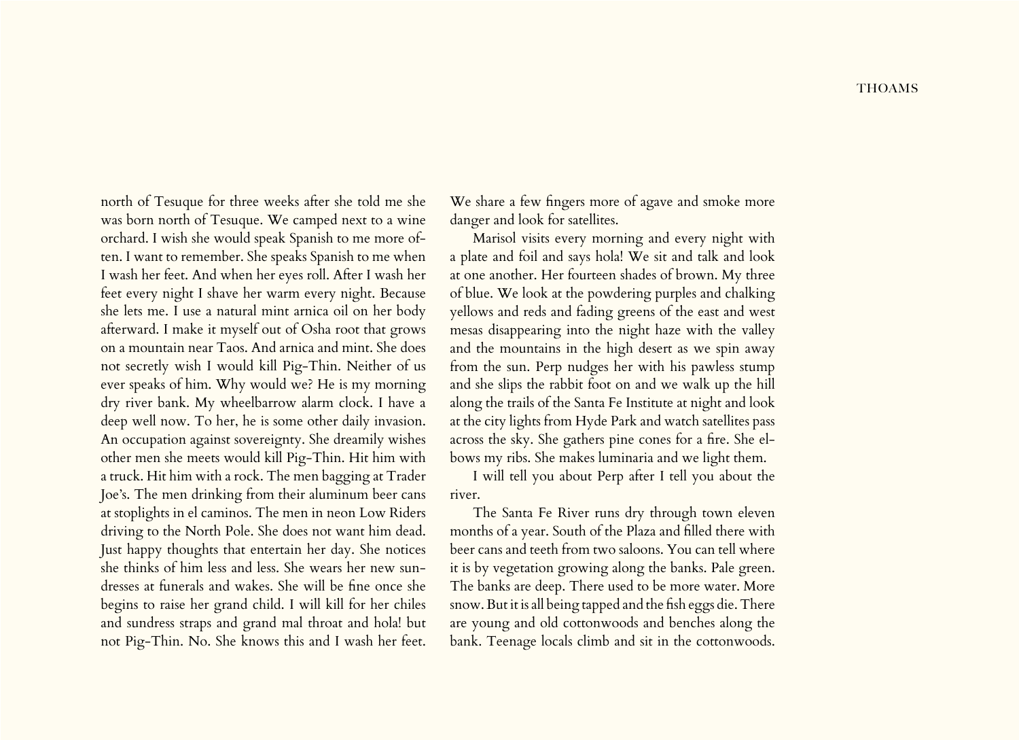north of Tesuque for three weeks after she told me she was born north of Tesuque. We camped next to a wine orchard. I wish she would speak Spanish to me more often. I want to remember. She speaks Spanish to me when I wash her feet. And when her eyes roll. After I wash her feet every night I shave her warm every night. Because she lets me. I use a natural mint arnica oil on her body afterward. I make it myself out of Osha root that grows on a mountain near Taos. And arnica and mint. She does not secretly wish I would kill Pig-Thin. Neither of us ever speaks of him. Why would we? He is my morning dry river bank. My wheelbarrow alarm clock. I have a deep well now. To her, he is some other daily invasion. An occupation against sovereignty. She dreamily wishes other men she meets would kill Pig-Thin. Hit him with a truck. Hit him with a rock. The men bagging at Trader Joe's. The men drinking from their aluminum beer cans at stoplights in el caminos. The men in neon Low Riders driving to the North Pole. She does not want him dead. Just happy thoughts that entertain her day. She notices she thinks of him less and less. She wears her new sundresses at funerals and wakes. She will be fine once she begins to raise her grand child. I will kill for her chiles and sundress straps and grand mal throat and hola! but not Pig-Thin. No. She knows this and I wash her feet.

We share a few fingers more of agave and smoke more danger and look for satellites.

Marisol visits every morning and every night with a plate and foil and says hola! We sit and talk and look at one another. Her fourteen shades of brown. My three of blue. We look at the powdering purples and chalking yellows and reds and fading greens of the east and west mesas disappearing into the night haze with the valley and the mountains in the high desert as we spin away from the sun. Perp nudges her with his pawless stump and she slips the rabbit foot on and we walk up the hill along the trails of the Santa Fe Institute at night and look at the city lights from Hyde Park and watch satellites pass across the sky. She gathers pine cones for a fire. She elbows my ribs. She makes luminaria and we light them.

I will tell you about Perp after I tell you about the river.

The Santa Fe River runs dry through town eleven months of a year. South of the Plaza and filled there with beer cans and teeth from two saloons. You can tell where it is by vegetation growing along the banks. Pale green. The banks are deep. There used to be more water. More snow. But it is all being tapped and the fish eggs die. There are young and old cottonwoods and benches along the bank. Teenage locals climb and sit in the cottonwoods.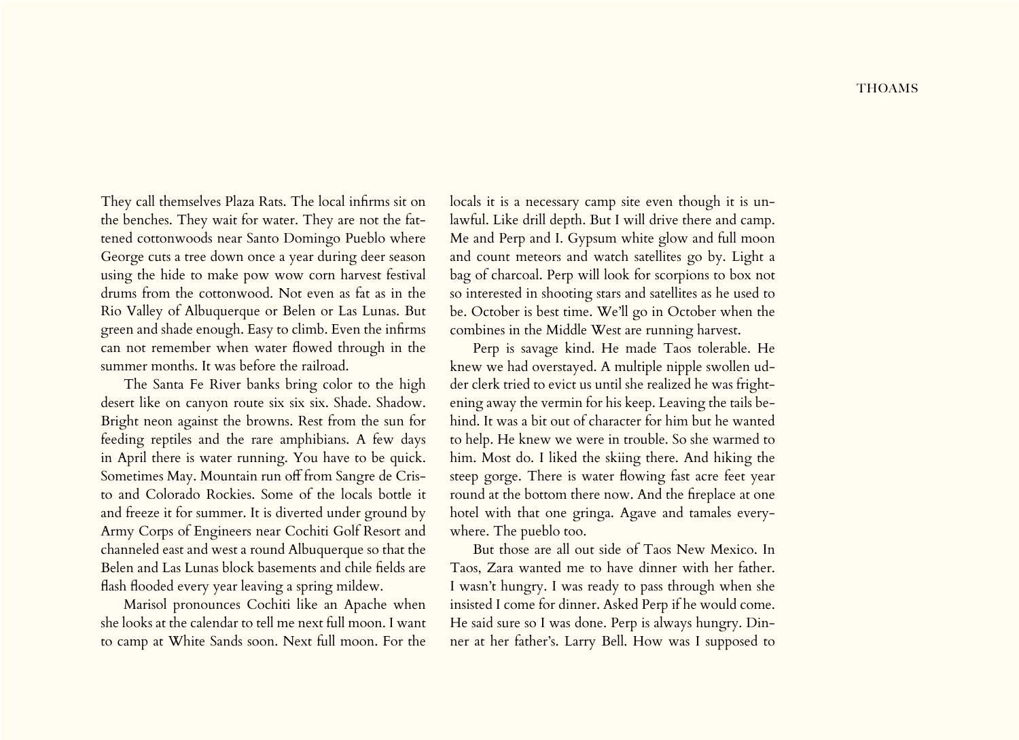They call themselves Plaza Rats. The local infirms sit on the benches. They wait for water. They are not the fattened cottonwoods near Santo Domingo Pueblo where George cuts a tree down once a year during deer season using the hide to make pow wow corn harvest festival drums from the cottonwood. Not even as fat as in the Rio Valley of Albuquerque or Belen or Las Lunas. But green and shade enough. Easy to climb. Even the infirms can not remember when water flowed through in the summer months. It was before the railroad.

The Santa Fe River banks bring color to the high desert like on canyon route six six six. Shade. Shadow. Bright neon against the browns. Rest from the sun for feeding reptiles and the rare amphibians. A few days in April there is water running. You have to be quick. Sometimes May. Mountain run off from Sangre de Cristo and Colorado Rockies. Some of the locals bottle it and freeze it for summer. It is diverted under ground by Army Corps of Engineers near Cochiti Golf Resort and channeled east and west a round Albuquerque so that the Belen and Las Lunas block basements and chile fields are flash flooded every year leaving a spring mildew.

Marisol pronounces Cochiti like an Apache when she looks at the calendar to tell me next full moon. I want to camp at White Sands soon. Next full moon. For the locals it is a necessary camp site even though it is unlawful. Like drill depth. But I will drive there and camp. Me and Perp and I. Gypsum white glow and full moon and count meteors and watch satellites go by. Light a bag of charcoal. Perp will look for scorpions to box not so interested in shooting stars and satellites as he used to be. October is best time. We'll go in October when the combines in the Middle West are running harvest.

Perp is savage kind. He made Taos tolerable. He knew we had overstayed. A multiple nipple swollen udder clerk tried to evict us until she realized he was frightening away the vermin for his keep. Leaving the tails behind. It was a bit out of character for him but he wanted to help. He knew we were in trouble. So she warmed to him. Most do. I liked the skiing there. And hiking the steep gorge. There is water flowing fast acre feet year round at the bottom there now. And the fireplace at one hotel with that one gringa. Agave and tamales everywhere. The pueblo too.

But those are all out side of Taos New Mexico. In Taos, Zara wanted me to have dinner with her father. I wasn't hungry. I was ready to pass through when she insisted I come for dinner. Asked Perp if he would come. He said sure so I was done. Perp is always hungry. Dinner at her father's. Larry Bell. How was I supposed to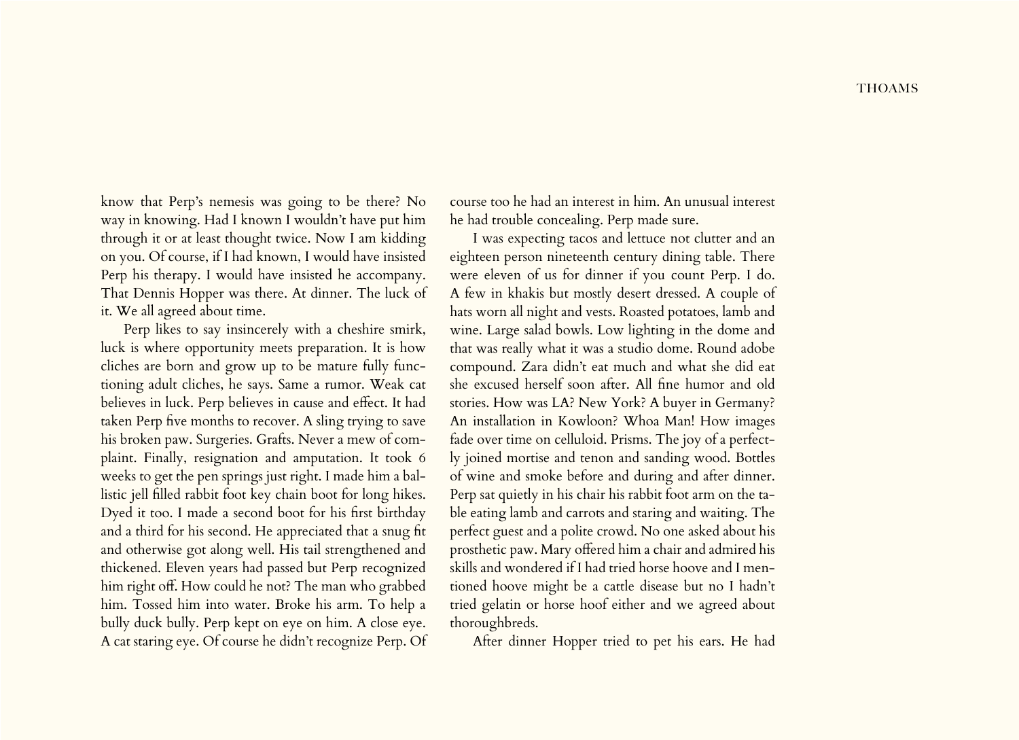know that Perp's nemesis was going to be there? No way in knowing. Had I known I wouldn't have put him through it or at least thought twice. Now I am kidding on you. Of course, if I had known, I would have insisted Perp his therapy. I would have insisted he accompany. That Dennis Hopper was there. At dinner. The luck of it. We all agreed about time.

Perp likes to say insincerely with a cheshire smirk, luck is where opportunity meets preparation. It is how cliches are born and grow up to be mature fully functioning adult cliches, he says. Same a rumor. Weak cat believes in luck. Perp believes in cause and effect. It had taken Perp five months to recover. A sling trying to save his broken paw. Surgeries. Grafts. Never a mew of complaint. Finally, resignation and amputation. It took 6 weeks to get the pen springs just right. I made him a ballistic jell filled rabbit foot key chain boot for long hikes. Dyed it too. I made a second boot for his first birthday and a third for his second. He appreciated that a snug fit and otherwise got along well. His tail strengthened and thickened. Eleven years had passed but Perp recognized him right off. How could he not? The man who grabbed him. Tossed him into water. Broke his arm. To help a bully duck bully. Perp kept on eye on him. A close eye. A cat staring eye. Of course he didn't recognize Perp. Of

course too he had an interest in him. An unusual interest he had trouble concealing. Perp made sure.

I was expecting tacos and lettuce not clutter and an eighteen person nineteenth century dining table. There were eleven of us for dinner if you count Perp. I do. A few in khakis but mostly desert dressed. A couple of hats worn all night and vests. Roasted potatoes, lamb and wine. Large salad bowls. Low lighting in the dome and that was really what it was a studio dome. Round adobe compound. Zara didn't eat much and what she did eat she excused herself soon after. All fine humor and old stories. How was LA? New York? A buyer in Germany? An installation in Kowloon? Whoa Man! How images fade over time on celluloid. Prisms. The joy of a perfectly joined mortise and tenon and sanding wood. Bottles of wine and smoke before and during and after dinner. Perp sat quietly in his chair his rabbit foot arm on the table eating lamb and carrots and staring and waiting. The perfect guest and a polite crowd. No one asked about his prosthetic paw. Mary offered him a chair and admired his skills and wondered if I had tried horse hoove and I mentioned hoove might be a cattle disease but no I hadn't tried gelatin or horse hoof either and we agreed about thoroughbreds.

After dinner Hopper tried to pet his ears. He had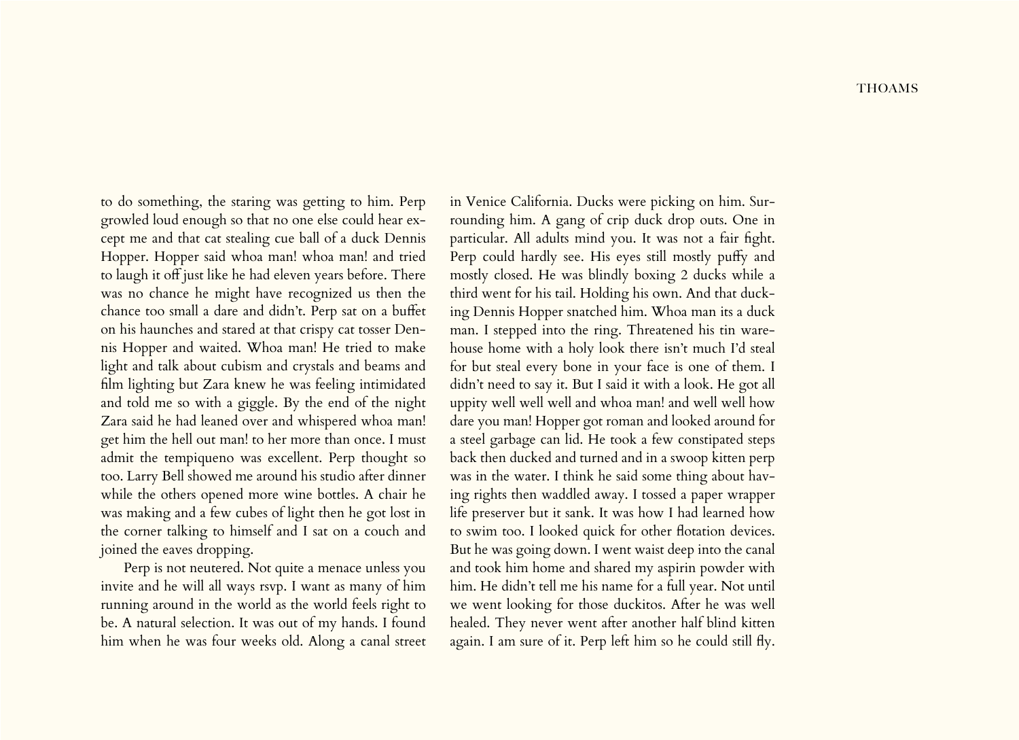to do something, the staring was getting to him. Perp growled loud enough so that no one else could hear except me and that cat stealing cue ball of a duck Dennis Hopper. Hopper said whoa man! whoa man! and tried to laugh it off just like he had eleven years before. There was no chance he might have recognized us then the chance too small a dare and didn't. Perp sat on a buffet on his haunches and stared at that crispy cat tosser Dennis Hopper and waited. Whoa man! He tried to make light and talk about cubism and crystals and beams and film lighting but Zara knew he was feeling intimidated and told me so with a giggle. By the end of the night Zara said he had leaned over and whispered whoa man! get him the hell out man! to her more than once. I must admit the tempiqueno was excellent. Perp thought so too. Larry Bell showed me around his studio after dinner while the others opened more wine bottles. A chair he was making and a few cubes of light then he got lost in the corner talking to himself and I sat on a couch and joined the eaves dropping.

Perp is not neutered. Not quite a menace unless you invite and he will all ways rsvp. I want as many of him running around in the world as the world feels right to be. A natural selection. It was out of my hands. I found him when he was four weeks old. Along a canal street in Venice California. Ducks were picking on him. Surrounding him. A gang of crip duck drop outs. One in particular. All adults mind you. It was not a fair fight. Perp could hardly see. His eyes still mostly puffy and mostly closed. He was blindly boxing 2 ducks while a third went for his tail. Holding his own. And that ducking Dennis Hopper snatched him. Whoa man its a duck man. I stepped into the ring. Threatened his tin warehouse home with a holy look there isn't much I'd steal for but steal every bone in your face is one of them. I didn't need to say it. But I said it with a look. He got all uppity well well well and whoa man! and well well how dare you man! Hopper got roman and looked around for a steel garbage can lid. He took a few constipated steps back then ducked and turned and in a swoop kitten perp was in the water. I think he said some thing about having rights then waddled away. I tossed a paper wrapper life preserver but it sank. It was how I had learned how to swim too. I looked quick for other flotation devices. But he was going down. I went waist deep into the canal and took him home and shared my aspirin powder with him. He didn't tell me his name for a full year. Not until we went looking for those duckitos. After he was well healed. They never went after another half blind kitten again. I am sure of it. Perp left him so he could still fly.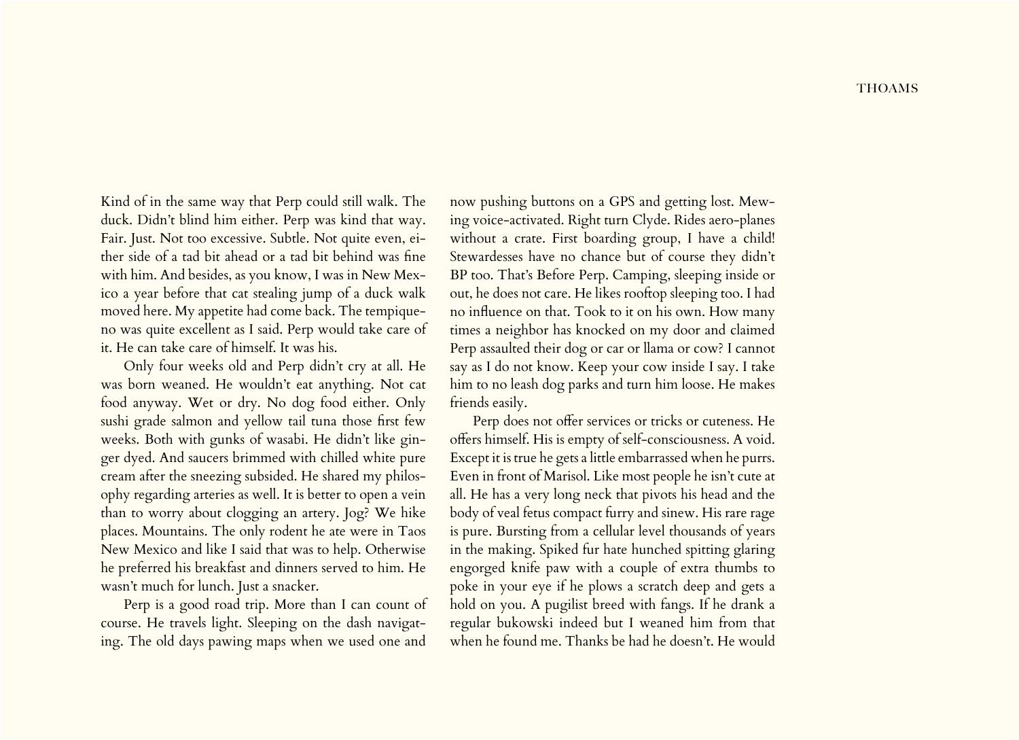Kind of in the same way that Perp could still walk. The duck. Didn't blind him either. Perp was kind that way. Fair. Just. Not too excessive. Subtle. Not quite even, either side of a tad bit ahead or a tad bit behind was fine with him. And besides, as you know, I was in New Mexico a year before that cat stealing jump of a duck walk moved here. My appetite had come back. The tempiqueno was quite excellent as I said. Perp would take care of it. He can take care of himself. It was his.

Only four weeks old and Perp didn't cry at all. He was born weaned. He wouldn't eat anything. Not cat food anyway. Wet or dry. No dog food either. Only sushi grade salmon and yellow tail tuna those first few weeks. Both with gunks of wasabi. He didn't like ginger dyed. And saucers brimmed with chilled white pure cream after the sneezing subsided. He shared my philosophy regarding arteries as well. It is better to open a vein than to worry about clogging an artery. Jog? We hike places. Mountains. The only rodent he ate were in Taos New Mexico and like I said that was to help. Otherwise he preferred his breakfast and dinners served to him. He wasn't much for lunch. Just a snacker.

Perp is a good road trip. More than I can count of course. He travels light. Sleeping on the dash navigating. The old days pawing maps when we used one and

now pushing buttons on a GPS and getting lost. Mewing voice-activated. Right turn Clyde. Rides aero-planes without a crate. First boarding group, I have a child! Stewardesses have no chance but of course they didn't BP too. That's Before Perp. Camping, sleeping inside or out, he does not care. He likes rooftop sleeping too. I had no influence on that. Took to it on his own. How many times a neighbor has knocked on my door and claimed Perp assaulted their dog or car or llama or cow? I cannot say as I do not know. Keep your cow inside I say. I take him to no leash dog parks and turn him loose. He makes friends easily.

Perp does not offer services or tricks or cuteness. He offers himself. His is empty of self-consciousness. A void. Except it is true he gets a little embarrassed when he purrs. Even in front of Marisol. Like most people he isn't cute at all. He has a very long neck that pivots his head and the body of veal fetus compact furry and sinew. His rare rage is pure. Bursting from a cellular level thousands of years in the making. Spiked fur hate hunched spitting glaring engorged knife paw with a couple of extra thumbs to poke in your eye if he plows a scratch deep and gets a hold on you. A pugilist breed with fangs. If he drank a regular bukowski indeed but I weaned him from that when he found me. Thanks be had he doesn't. He would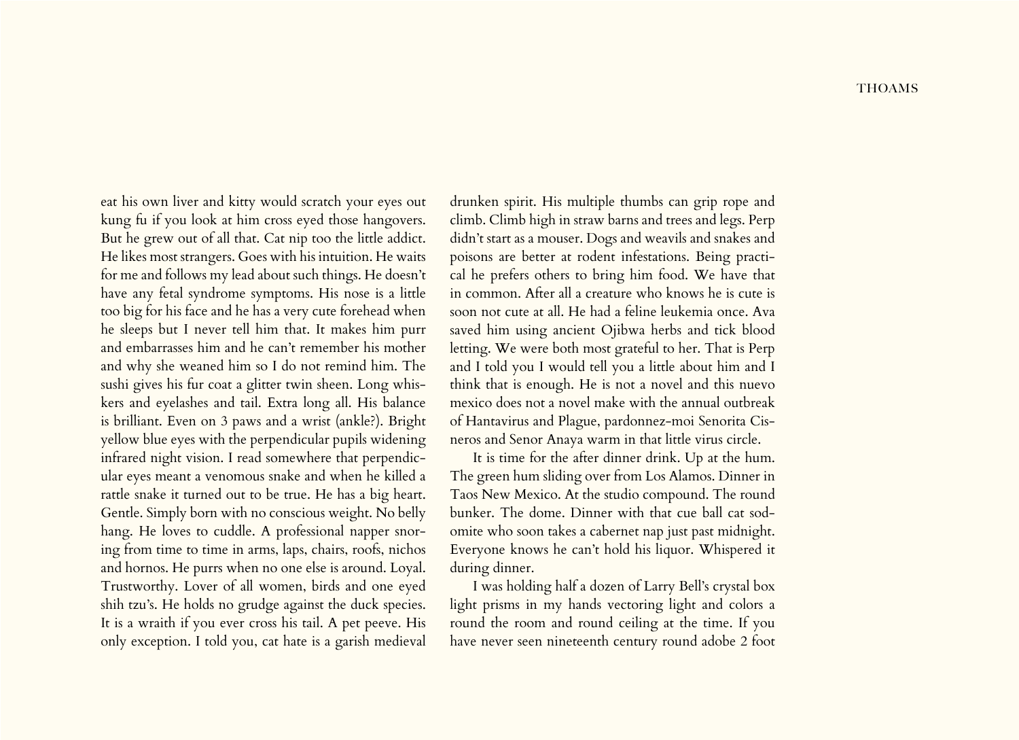eat his own liver and kitty would scratch your eyes out kung fu if you look at him cross eyed those hangovers. But he grew out of all that. Cat nip too the little addict. He likes most strangers. Goes with his intuition. He waits for me and follows my lead about such things. He doesn't have any fetal syndrome symptoms. His nose is a little too big for his face and he has a very cute forehead when he sleeps but I never tell him that. It makes him purr and embarrasses him and he can't remember his mother and why she weaned him so I do not remind him. The sushi gives his fur coat a glitter twin sheen. Long whiskers and eyelashes and tail. Extra long all. His balance is brilliant. Even on 3 paws and a wrist (ankle?). Bright yellow blue eyes with the perpendicular pupils widening infrared night vision. I read somewhere that perpendicular eyes meant a venomous snake and when he killed a rattle snake it turned out to be true. He has a big heart. Gentle. Simply born with no conscious weight. No belly hang. He loves to cuddle. A professional napper snoring from time to time in arms, laps, chairs, roofs, nichos and hornos. He purrs when no one else is around. Loyal. Trustworthy. Lover of all women, birds and one eyed shih tzu's. He holds no grudge against the duck species. It is a wraith if you ever cross his tail. A pet peeve. His only exception. I told you, cat hate is a garish medieval

drunken spirit. His multiple thumbs can grip rope and climb. Climb high in straw barns and trees and legs. Perp didn't start as a mouser. Dogs and weavils and snakes and poisons are better at rodent infestations. Being practical he prefers others to bring him food. We have that in common. After all a creature who knows he is cute is soon not cute at all. He had a feline leukemia once. Ava saved him using ancient Ojibwa herbs and tick blood letting. We were both most grateful to her. That is Perp and I told you I would tell you a little about him and I think that is enough. He is not a novel and this nuevo mexico does not a novel make with the annual outbreak of Hantavirus and Plague, pardonnez-moi Senorita Cisneros and Senor Anaya warm in that little virus circle.

It is time for the after dinner drink. Up at the hum. The green hum sliding over from Los Alamos. Dinner in Taos New Mexico. At the studio compound. The round bunker. The dome. Dinner with that cue ball cat sodomite who soon takes a cabernet nap just past midnight. Everyone knows he can't hold his liquor. Whispered it during dinner.

I was holding half a dozen of Larry Bell's crystal box light prisms in my hands vectoring light and colors a round the room and round ceiling at the time. If you have never seen nineteenth century round adobe 2 foot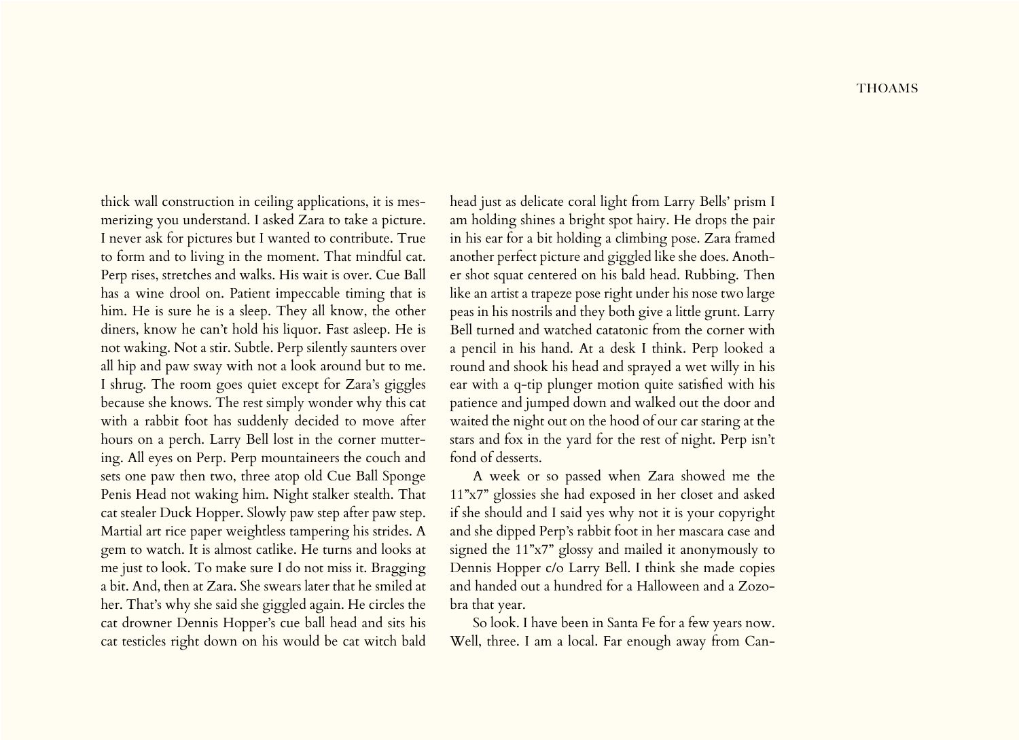thick wall construction in ceiling applications, it is mesmerizing you understand. I asked Zara to take a picture. I never ask for pictures but I wanted to contribute. True to form and to living in the moment. That mindful cat. Perp rises, stretches and walks. His wait is over. Cue Ball has a wine drool on. Patient impeccable timing that is him. He is sure he is a sleep. They all know, the other diners, know he can't hold his liquor. Fast asleep. He is not waking. Not a stir. Subtle. Perp silently saunters over all hip and paw sway with not a look around but to me. I shrug. The room goes quiet except for Zara's giggles because she knows. The rest simply wonder why this cat with a rabbit foot has suddenly decided to move after hours on a perch. Larry Bell lost in the corner muttering. All eyes on Perp. Perp mountaineers the couch and sets one paw then two, three atop old Cue Ball Sponge Penis Head not waking him. Night stalker stealth. That cat stealer Duck Hopper. Slowly paw step after paw step. Martial art rice paper weightless tampering his strides. A gem to watch. It is almost catlike. He turns and looks at me just to look. To make sure I do not miss it. Bragging a bit. And, then at Zara. She swears later that he smiled at her. That's why she said she giggled again. He circles the cat drowner Dennis Hopper's cue ball head and sits his cat testicles right down on his would be cat witch bald

head just as delicate coral light from Larry Bells' prism I am holding shines a bright spot hairy. He drops the pair in his ear for a bit holding a climbing pose. Zara framed another perfect picture and giggled like she does. Another shot squat centered on his bald head. Rubbing. Then like an artist a trapeze pose right under his nose two large peas in his nostrils and they both give a little grunt. Larry Bell turned and watched catatonic from the corner with a pencil in his hand. At a desk I think. Perp looked a round and shook his head and sprayed a wet willy in his ear with a q-tip plunger motion quite satisfied with his patience and jumped down and walked out the door and waited the night out on the hood of our car staring at the stars and fox in the yard for the rest of night. Perp isn't fond of desserts.

A week or so passed when Zara showed me the 11"x7" glossies she had exposed in her closet and asked if she should and I said yes why not it is your copyright and she dipped Perp's rabbit foot in her mascara case and signed the 11"x7" glossy and mailed it anonymously to Dennis Hopper c/o Larry Bell. I think she made copies and handed out a hundred for a Halloween and a Zozobra that year.

So look. I have been in Santa Fe for a few years now. Well, three. I am a local. Far enough away from Can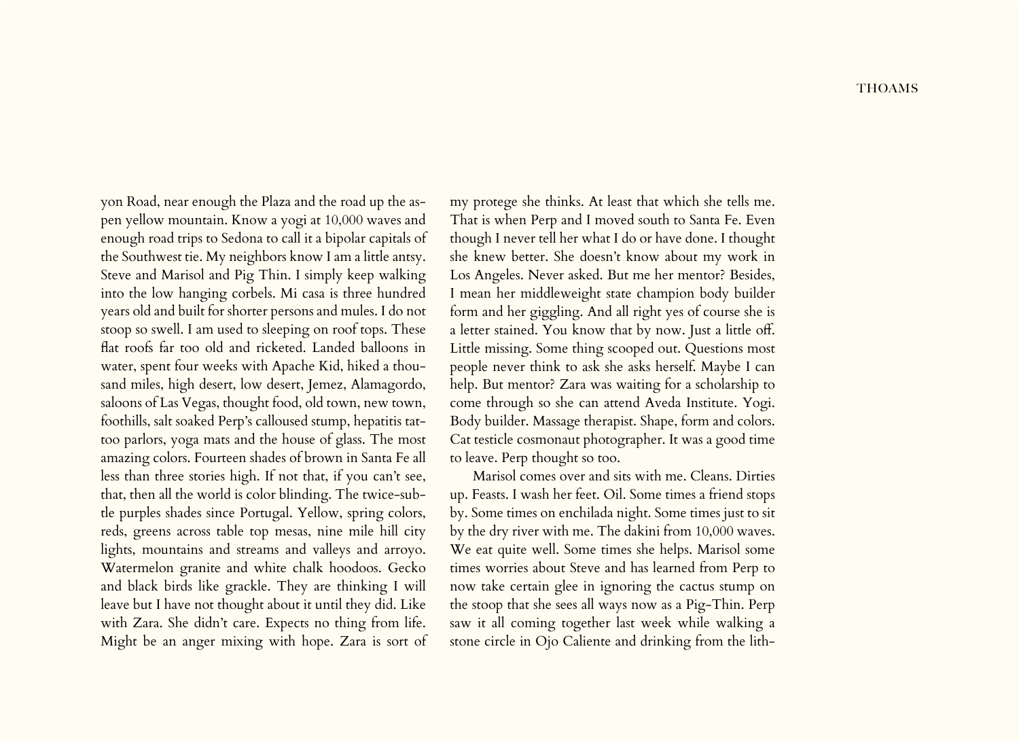yon Road, near enough the Plaza and the road up the aspen yellow mountain. Know a yogi at 10,000 waves and enough road trips to Sedona to call it a bipolar capitals of the Southwest tie. My neighbors know I am a little antsy. Steve and Marisol and Pig Thin. I simply keep walking into the low hanging corbels. Mi casa is three hundred years old and built for shorter persons and mules. I do not stoop so swell. I am used to sleeping on roof tops. These flat roofs far too old and ricketed. Landed balloons in water, spent four weeks with Apache Kid, hiked a thousand miles, high desert, low desert, Jemez, Alamagordo, saloons of Las Vegas, thought food, old town, new town, foothills, salt soaked Perp's calloused stump, hepatitis tattoo parlors, yoga mats and the house of glass. The most amazing colors. Fourteen shades of brown in Santa Fe all less than three stories high. If not that, if you can't see, that, then all the world is color blinding. The twice-subtle purples shades since Portugal. Yellow, spring colors, reds, greens across table top mesas, nine mile hill city lights, mountains and streams and valleys and arroyo. Watermelon granite and white chalk hoodoos. Gecko and black birds like grackle. They are thinking I will leave but I have not thought about it until they did. Like with Zara. She didn't care. Expects no thing from life. Might be an anger mixing with hope. Zara is sort of

my protege she thinks. At least that which she tells me. That is when Perp and I moved south to Santa Fe. Even though I never tell her what I do or have done. I thought she knew better. She doesn't know about my work in Los Angeles. Never asked. But me her mentor? Besides, I mean her middleweight state champion body builder form and her giggling. And all right yes of course she is a letter stained. You know that by now. Just a little off. Little missing. Some thing scooped out. Questions most people never think to ask she asks herself. Maybe I can help. But mentor? Zara was waiting for a scholarship to come through so she can attend Aveda Institute. Yogi. Body builder. Massage therapist. Shape, form and colors. Cat testicle cosmonaut photographer. It was a good time to leave. Perp thought so too.

Marisol comes over and sits with me. Cleans. Dirties up. Feasts. I wash her feet. Oil. Some times a friend stops by. Some times on enchilada night. Some times just to sit by the dry river with me. The dakini from 10,000 waves. We eat quite well. Some times she helps. Marisol some times worries about Steve and has learned from Perp to now take certain glee in ignoring the cactus stump on the stoop that she sees all ways now as a Pig-Thin. Perp saw it all coming together last week while walking a stone circle in Ojo Caliente and drinking from the lith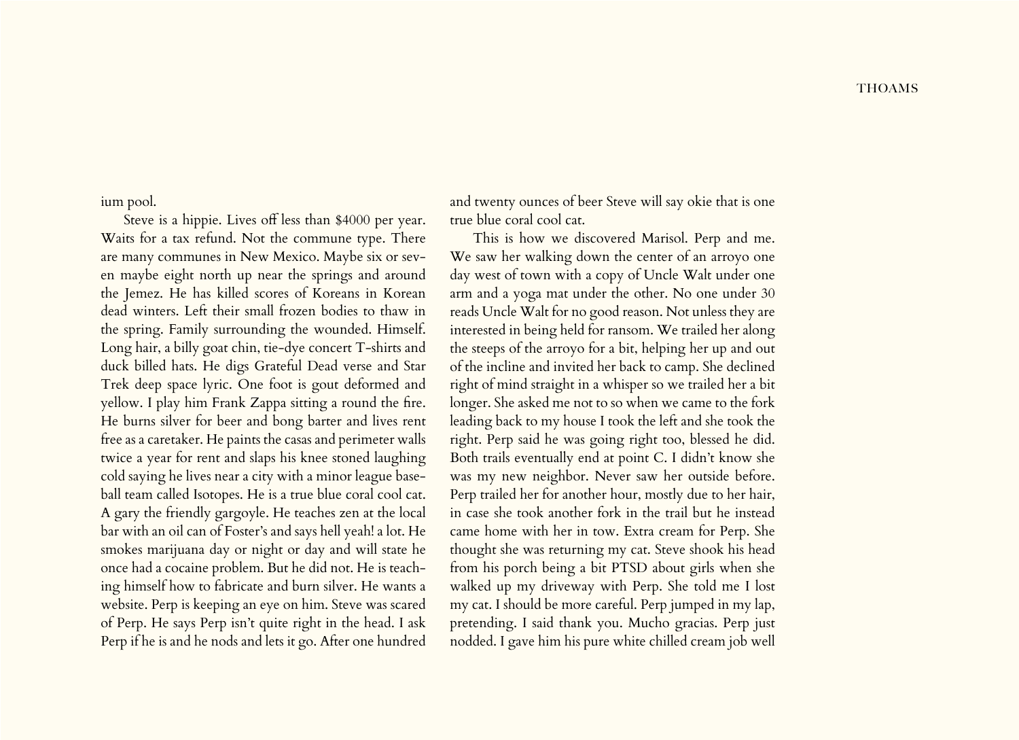ium pool.

Steve is a hippie. Lives off less than \$4000 per year. Waits for a tax refund. Not the commune type. There are many communes in New Mexico. Maybe six or seven maybe eight north up near the springs and around the Jemez. He has killed scores of Koreans in Korean dead winters. Left their small frozen bodies to thaw in the spring. Family surrounding the wounded. Himself. Long hair, a billy goat chin, tie-dye concert T-shirts and duck billed hats. He digs Grateful Dead verse and Star Trek deep space lyric. One foot is gout deformed and yellow. I play him Frank Zappa sitting a round the fire. He burns silver for beer and bong barter and lives rent free as a caretaker. He paints the casas and perimeter walls twice a year for rent and slaps his knee stoned laughing cold saying he lives near a city with a minor league baseball team called Isotopes. He is a true blue coral cool cat. A gary the friendly gargoyle. He teaches zen at the local bar with an oil can of Foster's and says hell yeah! a lot. He smokes marijuana day or night or day and will state he once had a cocaine problem. But he did not. He is teaching himself how to fabricate and burn silver. He wants a website. Perp is keeping an eye on him. Steve was scared of Perp. He says Perp isn't quite right in the head. I ask Perp if he is and he nods and lets it go. After one hundred

and twenty ounces of beer Steve will say okie that is one true blue coral cool cat.

This is how we discovered Marisol. Perp and me. We saw her walking down the center of an arroyo one day west of town with a copy of Uncle Walt under one arm and a yoga mat under the other. No one under 30 reads Uncle Walt for no good reason. Not unless they are interested in being held for ransom. We trailed her along the steeps of the arroyo for a bit, helping her up and out of the incline and invited her back to camp. She declined right of mind straight in a whisper so we trailed her a bit longer. She asked me not to so when we came to the fork leading back to my house I took the left and she took the right. Perp said he was going right too, blessed he did. Both trails eventually end at point C. I didn't know she was my new neighbor. Never saw her outside before. Perp trailed her for another hour, mostly due to her hair, in case she took another fork in the trail but he instead came home with her in tow. Extra cream for Perp. She thought she was returning my cat. Steve shook his head from his porch being a bit PTSD about girls when she walked up my driveway with Perp. She told me I lost my cat. I should be more careful. Perp jumped in my lap, pretending. I said thank you. Mucho gracias. Perp just nodded. I gave him his pure white chilled cream job well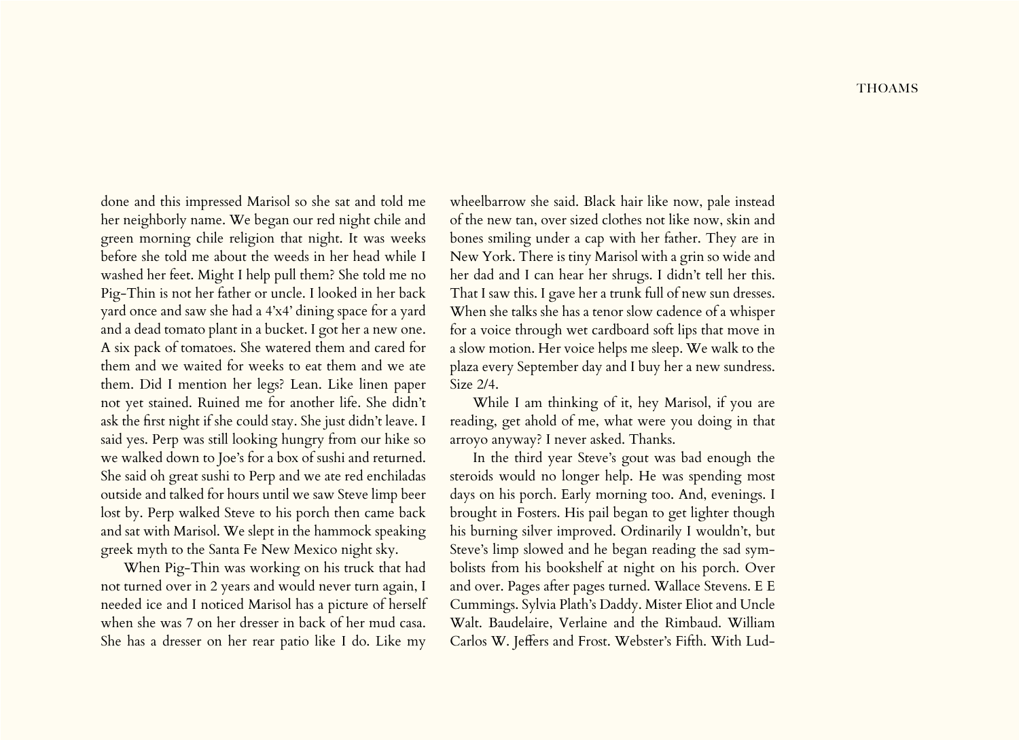done and this impressed Marisol so she sat and told me her neighborly name. We began our red night chile and green morning chile religion that night. It was weeks before she told me about the weeds in her head while I washed her feet. Might I help pull them? She told me no Pig-Thin is not her father or uncle. I looked in her back yard once and saw she had a 4'x4' dining space for a yard and a dead tomato plant in a bucket. I got her a new one. A six pack of tomatoes. She watered them and cared for them and we waited for weeks to eat them and we ate them. Did I mention her legs? Lean. Like linen paper not yet stained. Ruined me for another life. She didn't ask the first night if she could stay. She just didn't leave. I said yes. Perp was still looking hungry from our hike so we walked down to Joe's for a box of sushi and returned. She said oh great sushi to Perp and we ate red enchiladas outside and talked for hours until we saw Steve limp beer lost by. Perp walked Steve to his porch then came back and sat with Marisol. We slept in the hammock speaking greek myth to the Santa Fe New Mexico night sky.

When Pig-Thin was working on his truck that had not turned over in 2 years and would never turn again, I needed ice and I noticed Marisol has a picture of herself when she was 7 on her dresser in back of her mud casa. She has a dresser on her rear patio like I do. Like my

wheelbarrow she said. Black hair like now, pale instead of the new tan, over sized clothes not like now, skin and bones smiling under a cap with her father. They are in New York. There is tiny Marisol with a grin so wide and her dad and I can hear her shrugs. I didn't tell her this. That I saw this. I gave her a trunk full of new sun dresses. When she talks she has a tenor slow cadence of a whisper for a voice through wet cardboard soft lips that move in a slow motion. Her voice helps me sleep. We walk to the plaza every September day and I buy her a new sundress. Size 2/4.

While I am thinking of it, hey Marisol, if you are reading, get ahold of me, what were you doing in that arroyo anyway? I never asked. Thanks.

In the third year Steve's gout was bad enough the steroids would no longer help. He was spending most days on his porch. Early morning too. And, evenings. I brought in Fosters. His pail began to get lighter though his burning silver improved. Ordinarily I wouldn't, but Steve's limp slowed and he began reading the sad symbolists from his bookshelf at night on his porch. Over and over. Pages after pages turned. Wallace Stevens. E E Cummings. Sylvia Plath's Daddy. Mister Eliot and Uncle Walt. Baudelaire, Verlaine and the Rimbaud. William Carlos W. Jeffers and Frost. Webster's Fifth. With Lud-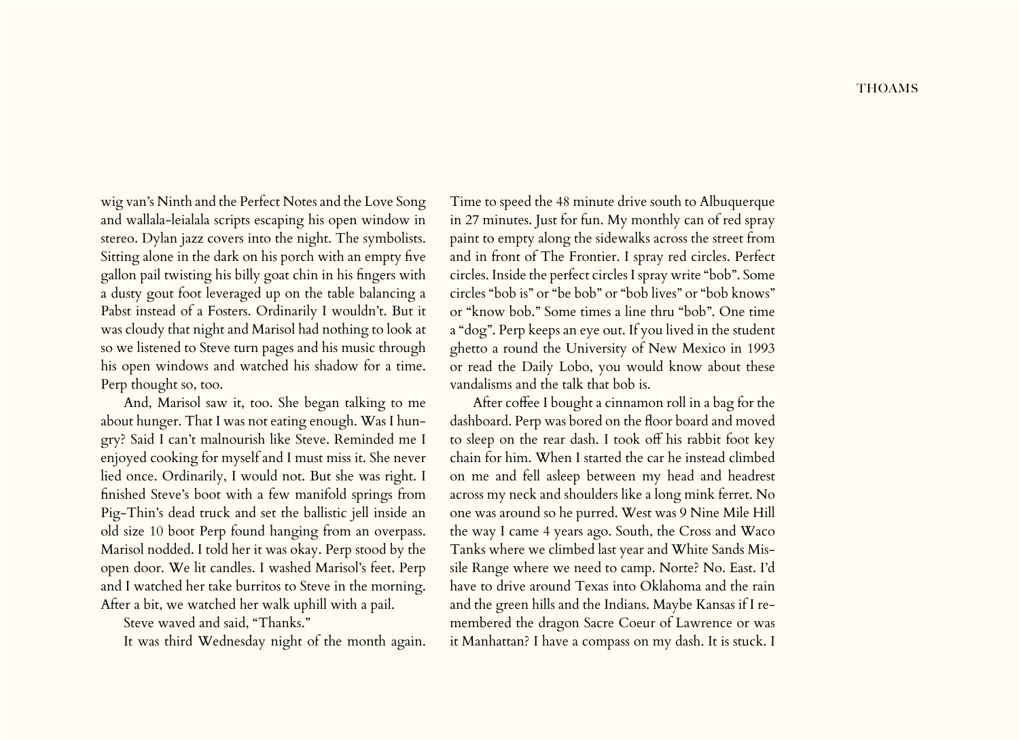wig van's Ninth and the Perfect Notes and the Love Song and wallala-leialala scripts escaping his open window in stereo. Dylan jazz covers into the night. The symbolists. Sitting alone in the dark on his porch with an empty five gallon pail twisting his billy goat chin in his fingers with a dusty gout foot leveraged up on the table balancing a Pabst instead of a Fosters. Ordinarily I wouldn't. But it was cloudy that night and Marisol had nothing to look at so we listened to Steve turn pages and his music through his open windows and watched his shadow for a time. Perp thought so, too.

And, Marisol saw it, too. She began talking to me about hunger. That I was not eating enough. Was I hungry? Said I can't malnourish like Steve. Reminded me I enjoyed cooking for myself and I must miss it. She never lied once. Ordinarily, I would not. But she was right. I finished Steve's boot with a few manifold springs from Pig-Thin's dead truck and set the ballistic jell inside an old size 10 boot Perp found hanging from an overpass. Marisol nodded. I told her it was okay. Perp stood by the open door. We lit candles. I washed Marisol's feet. Perp and I watched her take burritos to Steve in the morning. After a bit, we watched her walk uphill with a pail.

Steve waved and said, "Thanks."

It was third Wednesday night of the month again.

Time to speed the 48 minute drive south to Albuquerque in 27 minutes. Just for fun. My monthly can of red spray paint to empty along the sidewalks across the street from and in front of The Frontier. I spray red circles. Perfect circles. Inside the perfect circles I spray write "bob". Some circles "bob is" or "be bob" or "bob lives" or "bob knows" or "know bob." Some times a line thru "bob". One time a "dog". Perp keeps an eye out. If you lived in the student ghetto a round the University of New Mexico in 1993 or read the Daily Lobo, you would know about these vandalisms and the talk that bob is.

After coffee I bought a cinnamon roll in a bag for the dashboard. Perp was bored on the floor board and moved to sleep on the rear dash. I took off his rabbit foot key chain for him. When I started the car he instead climbed on me and fell asleep between my head and headrest across my neck and shoulders like a long mink ferret. No one was around so he purred. West was 9 Nine Mile Hill the way I came 4 years ago. South, the Cross and Waco Tanks where we climbed last year and White Sands Missile Range where we need to camp. Norte? No. East. I'd have to drive around Texas into Oklahoma and the rain and the green hills and the Indians. Maybe Kansas if I remembered the dragon Sacre Coeur of Lawrence or was it Manhattan? I have a compass on my dash. It is stuck. I